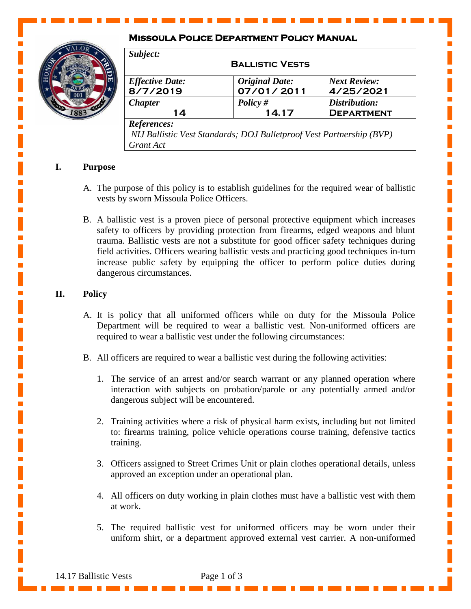# **Missoula Police Department Policy Manual**



| Subject:                                                                                         |                                     |                                    |
|--------------------------------------------------------------------------------------------------|-------------------------------------|------------------------------------|
| <b>BALLISTIC VESTS</b>                                                                           |                                     |                                    |
| <b>Effective Date:</b><br>8/7/2019                                                               | <b>Original Date:</b><br>07/01/2011 | <b>Next Review:</b><br>4/25/2021   |
| <b>Chapter</b><br>14                                                                             | Policy $#$<br>14.17                 | Distribution:<br><b>DEPARTMENT</b> |
| References:<br>NIJ Ballistic Vest Standards; DOJ Bulletproof Vest Partnership (BVP)<br>Grant Act |                                     |                                    |

Ī.

 $\overline{\phantom{a}}$ 

Ē.

Ľ 

Ē,

 $\mathbb{R}^2$  $\mathbb{R}^2$ 

 $\overline{\phantom{a}}$ 

 $\overline{\mathbb{R}}$ 

 $\mathbf{r}$ 

Ī.

# **I. Purpose**

- A. The purpose of this policy is to establish guidelines for the required wear of ballistic vests by sworn Missoula Police Officers.
- B. A ballistic vest is a proven piece of personal protective equipment which increases safety to officers by providing protection from firearms, edged weapons and blunt trauma. Ballistic vests are not a substitute for good officer safety techniques during field activities. Officers wearing ballistic vests and practicing good techniques in-turn increase public safety by equipping the officer to perform police duties during dangerous circumstances.

# **II. Policy**

- A. It is policy that all uniformed officers while on duty for the Missoula Police Department will be required to wear a ballistic vest. Non-uniformed officers are required to wear a ballistic vest under the following circumstances:
- B. All officers are required to wear a ballistic vest during the following activities:
	- 1. The service of an arrest and/or search warrant or any planned operation where interaction with subjects on probation/parole or any potentially armed and/or dangerous subject will be encountered.
	- 2. Training activities where a risk of physical harm exists, including but not limited to: firearms training, police vehicle operations course training, defensive tactics training.
	- 3. Officers assigned to Street Crimes Unit or plain clothes operational details, unless approved an exception under an operational plan.
	- 4. All officers on duty working in plain clothes must have a ballistic vest with them at work.
	- 5. The required ballistic vest for uniformed officers may be worn under their uniform shirt, or a department approved external vest carrier. A non-uniformed

14.17 Ballistic Vests Page 1 of 3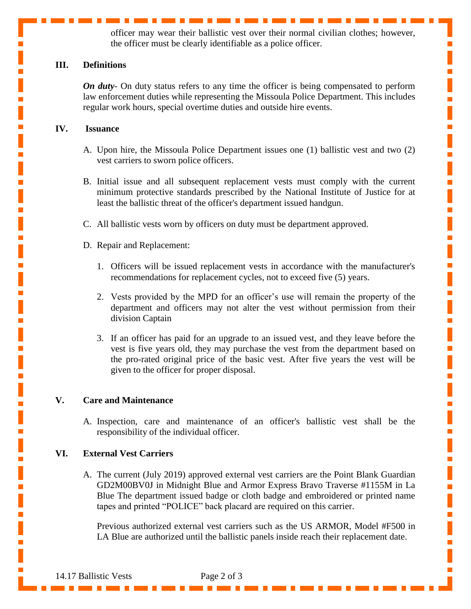officer may wear their ballistic vest over their normal civilian clothes; however, the officer must be clearly identifiable as a police officer.

п

 $\overline{\mathbb{R}}$  $\blacksquare$ 

I

Ī.  $\overline{\mathbb{R}}$ 

 $\mathbb{R}^2$  $\overline{\mathbb{R}}$ 

I

 $\overline{\mathbb{R}}$  $\mathbb{R}^2$  $\mathbb{R}^2$  $\mathbb{R}^2$  $\overline{\phantom{a}}$  $\mathbb{R}^2$ 

 $\overline{\mathbb{R}}$  $\overline{\phantom{a}}$ 

 $\overline{\phantom{a}}$ 

### **III. Definitions**

*On duty*- On duty status refers to any time the officer is being compensated to perform law enforcement duties while representing the Missoula Police Department. This includes regular work hours, special overtime duties and outside hire events.

#### **IV. Issuance**

- A. Upon hire, the Missoula Police Department issues one (1) ballistic vest and two (2) vest carriers to sworn police officers.
- B. Initial issue and all subsequent replacement vests must comply with the current minimum protective standards prescribed by the National Institute of Justice for at least the ballistic threat of the officer's department issued handgun.
- C. All ballistic vests worn by officers on duty must be department approved.
- D. Repair and Replacement:
	- 1. Officers will be issued replacement vests in accordance with the manufacturer's recommendations for replacement cycles, not to exceed five (5) years.
	- 2. Vests provided by the MPD for an officer's use will remain the property of the department and officers may not alter the vest without permission from their division Captain
	- 3. If an officer has paid for an upgrade to an issued vest, and they leave before the vest is five years old, they may purchase the vest from the department based on the pro-rated original price of the basic vest. After five years the vest will be given to the officer for proper disposal.

#### **V. Care and Maintenance**

A. Inspection, care and maintenance of an officer's ballistic vest shall be the responsibility of the individual officer.

## **VI. External Vest Carriers**

A. The current (July 2019) approved external vest carriers are the Point Blank Guardian GD2M00BV0J in Midnight Blue and Armor Express Bravo Traverse #1155M in La Blue The department issued badge or cloth badge and embroidered or printed name tapes and printed "POLICE" back placard are required on this carrier.

Previous authorized external vest carriers such as the US ARMOR, Model #F500 in LA Blue are authorized until the ballistic panels inside reach their replacement date.

14.17 Ballistic Vests Page 2 of 3